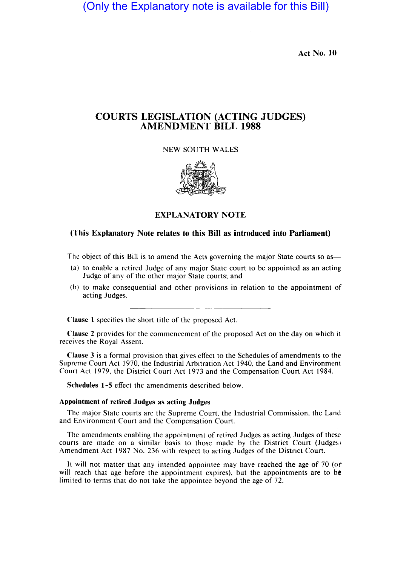(Only the Explanatory note is available for this Bill)

Act No. **10** 

# COURTS LEGISLATION (ACTING JUDGES) AMENDMENT **BILL 1988**

NEW SOUTH WALES



# EXPLANATORY NOTE

### (This Explanatory Note relates to this Bill as introduced into Parliament)

The object of this Bill is to amend the Acts governing the major State courts so as—

- (a) to enable a retired Judge of any major State court to be appointed as an acting Judge of any of the other major State courts; and
- (b) to make consequential and other provisions in relation to the appointment of acting Judges.

Clause 1 specifies the short title of the proposed Act.

Clause 2 provides for the commencement of the proposed Act on the day on which it receives the Royal Assent.

Clause 3 is a formal provision that gives effect to the Schedules of amendments to the Supreme Court Act 1970, the Industrial Arbitration Act 1940, the Land and Environment Court Act 1979, the District Court Act 1973 and the Compensation Court Act 1984.

Schedules 1-5 effect the amendments described below.

#### Appointment of retired Judges as acting Judges

The major State courts are the Supreme Court, the Industrial Commission, the Land and Environment Court and the Compensation Court.

The amendments enabling the appointment of retired Judges as acting Judges of these courts are made on a similar basis to those made by the District Court (Judges) Amendment Act 1987 No. 236 with respect to acting Judges of the District Court.

It will not matter that any intended appointee may have reached the age of 70 (or will reach that age before the appointment expires), but the appointments are to be limited to terms that do not take the appointee beyond the age of 72.